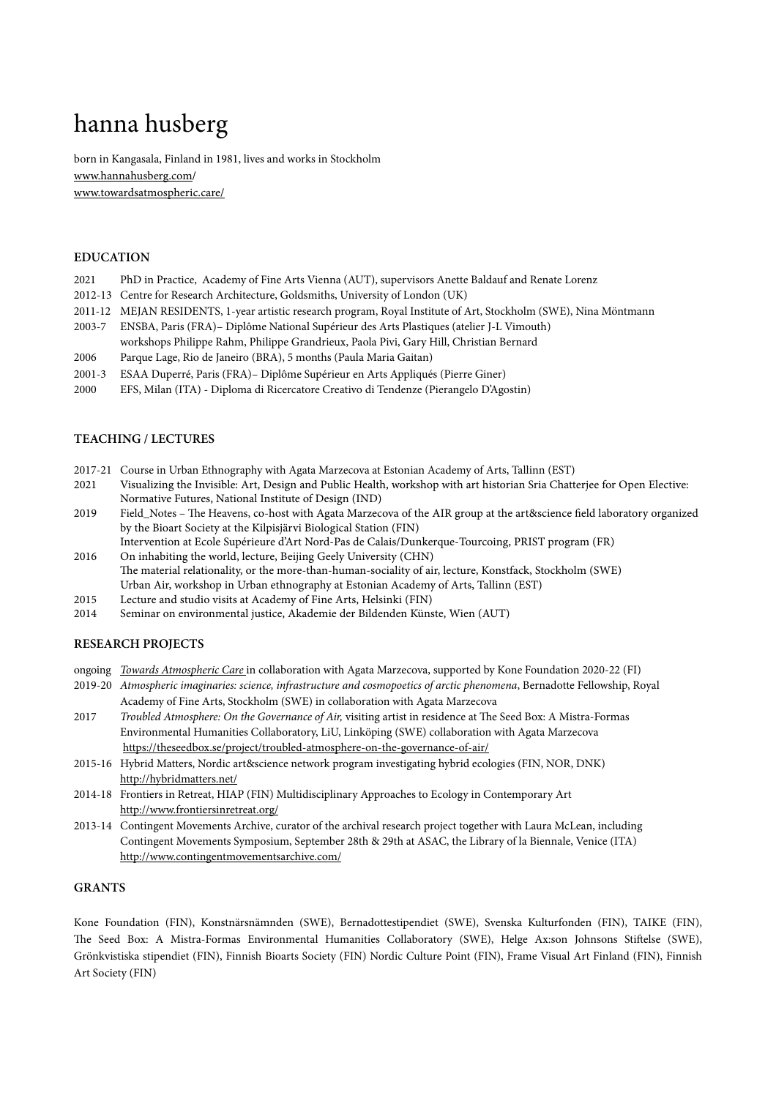# hanna husberg

born in Kangasala, Finland in 1981, lives and works in Stockholm [www.hannahusberg.com](http://hannahusberg.com)/ [www.towardsatmospheric.care/](http://www.towardsatmospheric.care/)

## **EDUCATION**

- 2021 PhD in Practice, Academy of Fine Arts Vienna (AUT), supervisors Anette Baldauf and Renate Lorenz
- 2012-13 Centre for Research Architecture, Goldsmiths, University of London (UK)
- 2011-12 MEJAN RESIDENTS, 1-year artistic research program, Royal Institute of Art, Stockholm (SWE), Nina Möntmann
- 2003-7 ENSBA, Paris (FRA)– Diplôme National Supérieur des Arts Plastiques (atelier J-L Vimouth) workshops Philippe Rahm, Philippe Grandrieux, Paola Pivi, Gary Hill, Christian Bernard
- 2006 Parque Lage, Rio de Janeiro (BRA), 5 months (Paula Maria Gaitan)
- 2001-3 ESAA Duperré, Paris (FRA)– Diplôme Supérieur en Arts Appliqués (Pierre Giner)
- 2000 EFS, Milan (ITA) Diploma di Ricercatore Creativo di Tendenze (Pierangelo D'Agostin)

#### **TEACHING / LECTURES**

- 2017-21 Course in Urban Ethnography with Agata Marzecova at Estonian Academy of Arts, Tallinn (EST)
- 2021 Visualizing the Invisible: Art, Design and Public Health, workshop with art historian Sria Chatterjee for Open Elective: Normative Futures, National Institute of Design (IND)
- 2019 Field\_Notes The Heavens, co-host with Agata Marzecova of the AIR group at the art&science field laboratory organized by the Bioart Society at the Kilpisjärvi Biological Station (FIN) Intervention at Ecole Supérieure d'Art Nord-Pas de Calais/Dunkerque-Tourcoing, PRIST program (FR)
- 2016 On inhabiting the world, lecture, Beijing Geely University (CHN) The material relationality, or the more-than-human-sociality of air, lecture, Konstfack, Stockholm (SWE) Urban Air, workshop in Urban ethnography at Estonian Academy of Arts, Tallinn (EST)
- 2015 Lecture and studio visits at Academy of Fine Arts, Helsinki (FIN)
- 2014 Seminar on environmental justice, Akademie der Bildenden Künste, Wien (AUT)

#### **RESEARCH PROJECTS**

- ongoing *[Towards Atmospheric Care](https://towardsatmospheric.care/)* in collaboration with Agata Marzecova, supported by Kone Foundation 2020-22 (FI)
- 2019-20 *Atmospheric imaginaries: science, infrastructure and cosmopoetics of arctic phenomena*, Bernadotte Fellowship, Royal Academy of Fine Arts, Stockholm (SWE) in collaboration with Agata Marzecova
- 2017 *Troubled Atmosphere: On the Governance of Air,* visiting artist in residence at The Seed Box: A Mistra-Formas Environmental Humanities Collaboratory, LiU, Linköping (SWE) collaboration with Agata Marzecova <https://theseedbox.se/project/troubled-atmosphere-on-the-governance-of-air/>
- 2015-16 Hybrid Matters, Nordic art&science network program investigating hybrid ecologies (FIN, NOR, DNK) <http://hybridmatters.net/>
- 2014-18 Frontiers in Retreat, HIAP (FIN) Multidisciplinary Approaches to Ecology in Contemporary Art <http://www.frontiersinretreat.org/>
- 2013-14 Contingent Movements Archive, curator of the archival research project together with Laura McLean, including Contingent Movements Symposium, September 28th & 29th at ASAC, the Library of la Biennale, Venice (ITA) <http://www.contingentmovementsarchive.com/>

#### **GRANTS**

Kone Foundation (FIN), Konstnärsnämnden (SWE), Bernadottestipendiet (SWE), Svenska Kulturfonden (FIN), TAIKE (FIN), The Seed Box: A Mistra-Formas Environmental Humanities Collaboratory (SWE), Helge Ax:son Johnsons Stiftelse (SWE), Grönkvistiska stipendiet (FIN), Finnish Bioarts Society (FIN) Nordic Culture Point (FIN), Frame Visual Art Finland (FIN), Finnish Art Society (FIN)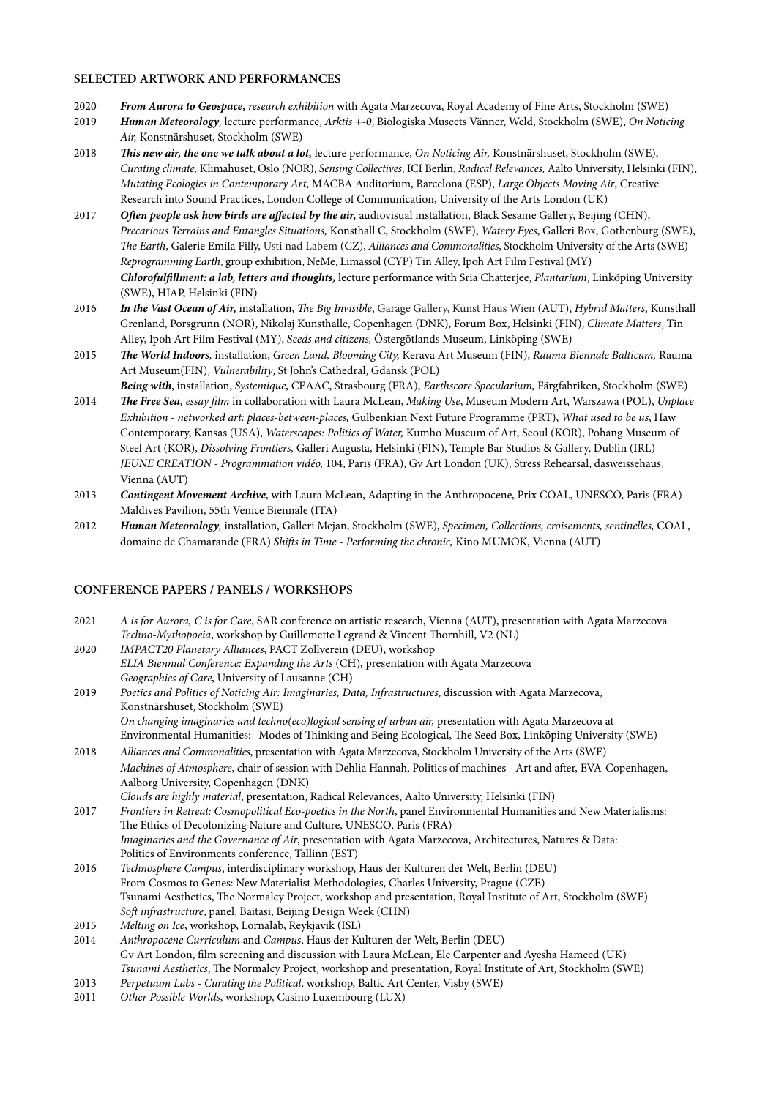#### **SELECTED ARTWORK AND PERFORMANCES**

- 2020 *From Aurora to Geospace, research exhibition* with Agata Marzecova, Royal Academy of Fine Arts, Stockholm (SWE)
- 2019 *Human Meteorology,* lecture performance, *Arktis +-0*, Biologiska Museets Vänner, Weld, Stockholm (SWE), *On Noticing Air,* Konstnärshuset, Stockholm (SWE)
- 2018 **Th***is new air, the one we talk about a lot,* lecture performance, *On Noticing Air,* Konstnärshuset, Stockholm (SWE), *Curating climate,* Klimahuset, Oslo (NOR), *Sensing Collectives*, ICI Berlin, *Radical Relevances,* Aalto University, Helsinki (FIN), *Mutating Ecologies in Contemporary Art*, MACBA Auditorium, Barcelona (ESP), *Large Objects Moving Air*, Creative Research into Sound Practices, London College of Communication, University of the Arts London (UK)
- 2017 *O***ft***en people ask how birds are a***ff***ected by the air,* audiovisual installation, Black Sesame Gallery, Beijing (CHN), *Precarious Terrains and Entangles Situations,* Konsthall C, Stockholm (SWE), *Watery Eyes*, Galleri Box, Gothenburg (SWE), Th*e Earth*, Galerie Emila Filly, Usti nad Labem (CZ), *Alliances and Commonalities*, Stockholm University of the Arts (SWE) *Reprogramming Earth*, group exhibition, NeMe, Limassol (CYP) Tin Alley, Ipoh Art Film Festival (MY) *Chloroful***fi***llment: a lab, letters and thoughts,* lecture performance with Sria Chatterjee, *Plantarium*, Linköping University (SWE), HIAP, Helsinki (FIN)
- 2016 *In the Vast Ocean of Air,* installation, Th*e Big Invisible*, Garage Gallery, Kunst Haus Wien (AUT), *Hybrid Matters*, Kunsthall Grenland, Porsgrunn (NOR), Nikolaj Kunsthalle, Copenhagen (DNK), Forum Box, Helsinki (FIN), *Climate Matters*, Tin Alley, Ipoh Art Film Festival (MY), *Seeds and citizens,* Östergötlands Museum, Linköping (SWE)
- 2015 **Th***e World Indoors,* installation, *Green Land, Blooming City,* Kerava Art Museum (FIN), *Rauma Biennale Balticum,* Rauma Art Museum(FIN), *Vulnerability*, St John's Cathedral, Gdansk (POL)
- *Being with*, installation, *Systemique*, CEAAC, Strasbourg (FRA), *Earthscore Specularium,* Färgfabriken, Stockholm (SWE) 2014 **Th***e Free Sea, essay* fi*lm* in collaboration with Laura McLean, *Making Use*, Museum Modern Art, Warszawa (POL), *Unplace Exhibition - networked art: places-between-places,* Gulbenkian Next Future Programme (PRT), *What used to be us*, Haw Contemporary, Kansas (USA), *Waterscapes: Politics of Water,* Kumho Museum of Art, Seoul (KOR), Pohang Museum of Steel Art (KOR), *Dissolving Frontiers,* Galleri Augusta, Helsinki (FIN), Temple Bar Studios & Gallery, Dublin (IRL) *JEUNE CREATION - Programmation vidéo,* 104, Paris (FRA), Gv Art London (UK), Stress Rehearsal, dasweissehaus, Vienna (AUT)
- 2013 *Contingent Movement Archive*, with Laura McLean, Adapting in the Anthropocene, Prix COAL, UNESCO, Paris (FRA) Maldives Pavilion, 55th Venice Biennale (ITA)
- 2012 *Human Meteorology,* installation, Galleri Mejan, Stockholm (SWE), *Specimen, Collections, croisements, sentinelles,* COAL, domaine de Chamarande (FRA) *Shi*ft*s in Time - Performing the chronic,* Kino MUMOK, Vienna (AUT)

## **CONFERENCE PAPERS / PANELS / WORKSHOPS**

- 2021 *A is for Aurora, C is for Care*, SAR conference on artistic research, Vienna (AUT), presentation with Agata Marzecova *Techno-Mythopoeia*, workshop by Guillemette Legrand & Vincent Thornhill, V2 (NL)
- 2020 *IMPACT20 Planetary Alliances*, PACT Zollverein (DEU), workshop *ELIA Biennial Conference: Expanding the Arts* (CH)*,* presentation with Agata Marzecova *Geographies of Care*, University of Lausanne (CH)
- 2019 *Poetics and Politics of Noticing Air: Imaginaries, Data, Infrastructures*, discussion with Agata Marzecova, Konstnärshuset, Stockholm (SWE) *On changing imaginaries and techno(eco)logical sensing of urban air,* presentation with Agata Marzecova at Environmental Humanities: Modes of Thinking and Being Ecological, The Seed Box, Linköping University (SWE)
- 2018 *Alliances and Commonalities*, presentation with Agata Marzecova, Stockholm University of the Arts (SWE) *Machines of Atmosphere*, chair of session with Dehlia Hannah, Politics of machines - Art and after, EVA-Copenhagen, Aalborg University, Copenhagen (DNK)
- *Clouds are highly material*, presentation, Radical Relevances, Aalto University, Helsinki (FIN) 2017 *Frontiers in Retreat: Cosmopolitical Eco-poetics in the North*, panel Environmental Humanities and New Materialisms: The Ethics of Decolonizing Nature and Culture, UNESCO, Paris (FRA) *Imaginaries and the Governance of Air*, presentation with Agata Marzecova, Architectures, Natures & Data: Politics of Environments conference, Tallinn (EST)
- 2016 *Technosphere Campus*, interdisciplinary workshop, Haus der Kulturen der Welt, Berlin (DEU) From Cosmos to Genes: New Materialist Methodologies, Charles University, Prague (CZE) Tsunami Aesthetics, The Normalcy Project, workshop and presentation, Royal Institute of Art, Stockholm (SWE) *So*ft *infrastructure*, panel, Baitasi, Beijing Design Week (CHN)
- 2015 *Melting on Ice*, workshop, Lornalab, Reykjavik (ISL)
- 2014 *Anthropocene Curriculum* and *Campus*, Haus der Kulturen der Welt, Berlin (DEU) Gv Art London, film screening and discussion with Laura McLean, Ele Carpenter and Ayesha Hameed (UK) *Tsunami Aesthetics*, The Normalcy Project, workshop and presentation, Royal Institute of Art, Stockholm (SWE)
- 2013 *Perpetuum Labs Curating the Political*, workshop, Baltic Art Center, Visby (SWE)
- 2011 *Other Possible Worlds*, workshop, Casino Luxembourg (LUX)